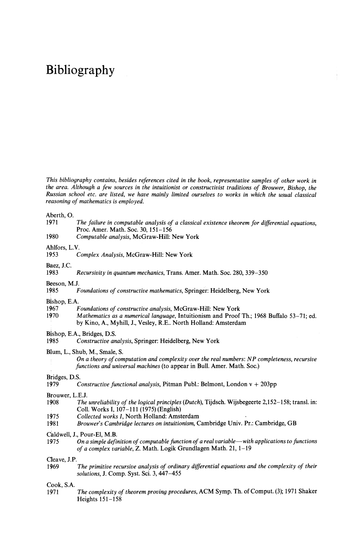# Bibliography

*This bibliography contains, besides references cited in the book, representative samples of other work in the area. Although a few sources in the intuitionist or constructivist traditions of Brouwer, Bishop, the Russian school etc. are listed, we have mainly limited ourselves to works in which the usual classical reasoning of mathematics is employed.*

Aberth, O.

- **1971** *The failure in computable analysis of a classical existence theorem for differential equations,* Proc. Amer. Math. Soc. 30, 151-156
- 1980 *Computable analysis,* McGraw-Hill: New York

Ahlfors, L.V.<br>1953 ( 1953 *Complex Analysis,* McGraw-Hill: New York

Baez, J.C.<br>1983 1983 *Recursivίty in quantum mechanics,* Trans. Amer. Math. Soc. 280, 339-350

Beeson, M.J.<br>1985  $\overrightarrow{H}$ 

**1985** *Foundations of constructive mathematics,* **Springer: Heidelberg, New York**

Bishop, E.A.

- **1967** *Foundations of constructive analysis,* **McGraw-Hill: New York**
- l?70 *Mathematics as a numerical language,* Intuitionism and Proof Th.; 1968 Buffalo 53-71; ed. by Kino, A., Myhill, J., Vesley, R.E.. North Holland: Amsterdam

Bishop, E.A., Bridges, D.S.<br>1985 Constructive an

1985 *Constructive analysis,* Springer: Heidelberg, New York

Blum, L., Shub, M., Smale, S.

*On a theory of computation and complexity over the real numbers: NP completeness, recursive functions and universal machines* (to appear in Bull. Amer. Math. Soc.)

Bridges, D.S.<br>1979 C

1979 *Constructive functional analysis,* Pitman Publ.: Belmont, London v + 203pp

Brouwer, L.E.J.<br>1908 The

- **1908** *The unreliability of the logical principles (Dutch),* **Tijdsch. Wijsbegeerte 2,152-158; transl. in:** Coll. Works I, 107-111 (1975) (English)
- 1^75 *Collected works I,* North Holland: Amsterdam
- **1981** *Brouwer's Cambridge lectures on intuitionism,* **Cambridge Univ. Pr.: Cambridge, GB**

Caldwell, J., Pour-El, M.B.<br>1975 On a simple defi-

**1975** *On a simple definition of computable function of a real variable***—***with applications to functions of a complex variable,* Z. Math. Logik Grundlagen Math. 21, 1-19

Cleave, J.P.

**1969** *The primitive recursive analysis of ordinary differential equations and the complexity of their solutions,* J. Comp. Syst. Sci. 3, 447-455

Cook, S.A.

**1971** *The complexity of theorem proving procedures,* **ACM Symp. Th. of Comput. (3); 1971 Shaker** Heights 151-158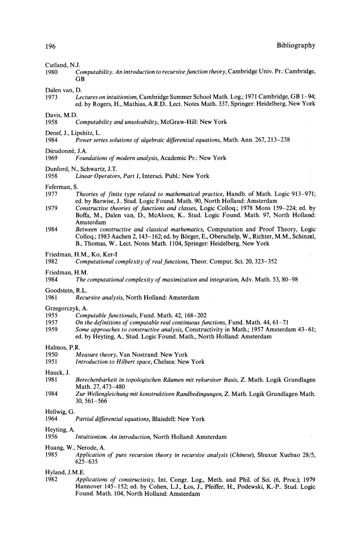Cutland, N.J.<br>1980 C **1980** *Computability. An introduction to recursive function theory,* **Cambridge Univ. Pr.: Cambridge, GB** 

## Dalen van, D.<br>1973 Le

1973 *Lectures on intuitionism,* Cambridge Summer School Math. Log.; 1971 Cambridge, GB 1-94; ed. by Rogers, H., Mathias, A.R.D.. Lect. Notes Math. 337, Springer: Heidelberg, New York

### Davis, M.D.<br>1958

**1958** *Computability and unsolvability,* **McGraw-Hill: New York**

## Denef, J., Lipshitz, L.<br>1984 Power ser

**1984** *Power series solutions of algebraic differential equations,* **Math. Ann. 267, 213-238**

# Dieudonné, J.A.<br>1969 Four

- **1969** *Foundations of modern analysis,* **Academic Pr.: New York**
- Dunford, N., Schwartz, J.T.
- Linear Operators, Part I, Intersci. Publ.: New York

# Feferman, S.<br>1977

- **1977** *Theories of finite type related to mathematical practice,* **Handb. of Math. Logic 913-971;** ed. by Barwise, J.. Stud. Logic Found. Math. 90, North Holland: Amsterdam
- **1979** *Constructive theories of functions and classes,* **Logic Colloq.; 1978 Mons 159-224; ed. by** Boffa, M., Dalen van, D., McAloon, K.. Stud. Logic Found. Math. 97, North Holland: Amsterdam
- **1984** *Between constructive and classical mathematics,* **Computation and Proof Theory, Logic** Colloq.; 1983 Aachen 2, 143-162; ed. by Börger, E., Oberschelp, W., Richter, M.M., Schinzel, B., Thomas, W.. Lect. Notes Math. 1104, Springer: Heidelberg, New York
- Friedman, H.M., Ko, Ker-I<br>1982 Computational c
- **1982** *Computational complexity of real functions,* **Theor. Comput. Sci. 20, 323-352**
- Friedman, H.M.<br>1984 The
- **1984** *The computational complexity of maximization and integration,* **Adv. Math. 53, 80-98**

# Goodstein, R.L.<br>1961 Recu

1961 *Recursive analysis,* North Holland: Amsterdam

# Grzegorczyk, A.<br>1955 Com

- 1955 *Computable functionals,* Fund. Math. 42, 168-202
- **1957** *On the definitions of computable real continuous functions,* **Fund. Math. 44, 61-71**
- 1959 *Some approaches to constructive analysis,* Constructivity in Math.; 1957 Amsterdam 43-61; ed. by Heyting, A.. Stud. Logic Found. Math., North Holland: Amsterdam

### Halmos, P.R.

- 1950 *Measure theory,* Van Nostrand: New York
	- **1951** *Introduction to Hubert space,* **Chelsea: New York**

### Hauck, J.

- **1981** *Berechenbarkeit in topologischen Rάumen mit rekursiver Basis,* **Z. Math. Logik Grundlagen** Math. 27, 473-480
- **1984** *Zur Wellengleichung mit konstruktiven Randbedingungen,* **Z. Math. Logik Grundlagen Math.** 30, 561-566

## Hellwig, G.<br>1964

**1964** *Partial differential equations,* **Blaisdell: New York**

### Heyting, A.<br>1956

**1956** *Intuitionism. An introduction,* **North Holland: Amsterdam**

### Huang, W., Nerode, A.

**1985** *Application of pure recursion theory in recursive analysis (Chinese),* **Shuxue Xuebao 28/5,** 625-635

## Hyland, J.M.E.<br>1982 *Api*

1982 *Applications of constructivity,* Int. Congr. Log., Meth. and Phil, of Sci. (6, Proc); 1979 Hannover 145-152; ed. by Cohen, L.J., Los, J., Pfeiffer, H., Podewski, K.-P.. Stud. Logic Found. Math. 104, North Holland: Amsterdam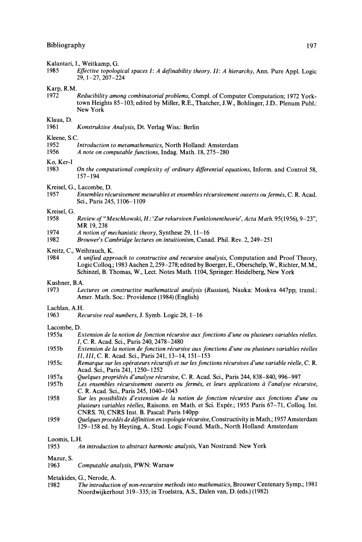Kalantari, I., Weitkamp, G.<br>1985 Effective topolog

**1985** *Effective topological spaces I: A definability theory. II: A hierarchy,* **Ann. Pure Appl. Logic** 29,1-27,207-224

Karp, R.M.<br>1972

1972 *Reducibility among combinatorial problems,* Compl. of Computer Computation; 1972 York town Heights 85-103; edited by Miller, R.E., Thatcher, J.W., Bohlinger, J.D.. Plenum Publ.: New York

# Klaua, D.

1961 *Konstruktive Analysis,* Dt. Verlag Wiss.: Berlin

Kleene, S.C.<br>1952

- **1952** *Introduction to metamathematics,* **North Holland: Amsterdam**
- **1956** *A note on computable functions,* **Indag. Math. 18, 275-280**

Ko, Ker-I<br>1983

- **1983** *On the computational complexity of ordinary differential equations,* **Inform, and Control 58,** 157-194
- Kreisel, G., Lacombe, D.<br>1957 Ensembles réc
- **1957** *Ensembles rέcursivement mesurables et ensembles recursivement ouverts ou fermes,* **C. R. Acad.** Sci., Paris 245,1106-1109

# Kreisel, G.

- **1958** *Review of "Meschkowskί, H:. 'Zur rekursiven Funktionentheorie\ Acta Math.* **95(1956), 9-23",** MR 19, 238
- **1974** *A notion of mechanistic theory,* **Synthese 29, 11-16**
- **1982** *Brouwer's Cambridge lectures on ίntuitionism,* **Canad. Phil. Rev. 2, 249-251**

## Kreitz, C., Weihrauch, K.<br>1984 *A unified anni*

**1984** *A unified approach to constructive and recursive analysis,* **Computation and Proof Theory,** Logic Colloq.; 1983 Aachen 2,259-278; edited by Boerger, E., Oberschelp, W., Richter, M.M., Schinzel, B. Thomas, W., Lect. Notes Math. 1104, Springer: Heidelberg, New York

## Kushner, B.A.<br>1973 Le

**1973** *Lectures on constructive mathematical analysis (Russian),* **Nauka: Moskva 447pp; transl.:** Amer. Math. Soc: Providence (1984) (English)

# Lachlan, A.H.<br>1963 Re

1963 *Recursive real numbers,* J. Symb. Logic 28, 1-16

### Lacombe, D.

- **1955a** *Extension de la notion de function recursive aux functions d'une ou plusieurs variables reelles. I,* C. R. Acad. Sci., Paris 240, 2478-2480
- **1955b** *Extension de la notion de fonction recursive aux functions d'une ou plusieurs variables reelles II, III,* C. R. Acad. Sci., Paris 241,13-14,151-153
- **1955c** *Remarque sur les opέrateurs recursifs et sur les functions recursives d'une variable rέelle,* **C. R.** Acad. Sci., Paris 241, 1250-1252
- 1957a *Quelques propriέtέs d'analyse recursive,* C. R. Acad. Sci., Paris 244, 838-840, 996-997
- **1957b** *Les ensembles rέcursivement ouverts ou fermes, et lews applications a Vanalyse recursive,* C. R. Acad. Sci., Paris 245, 1040-1043
- **1958** *Sur les possibilitέs d'extension de la notion de fonction recursive aux fonctions d'une ou plusieurs variables reelles,* Raisonn. en Math, et Sci. Exper.; 1955 Paris 67-71, Colloq. Int. CNRS. 70, CNRS Inst. B. Pascal: Paris 140pp
- **1959** *Quelques procέdes de definition en topologie recursive,* **Constructivity in Math.; 1957 Amsterdam** 129-158 ed. by Heyting, A.. Stud. Logic Found. Math., North Holland: Amsterdam

Loomis, L.H.

| 1953 |  |  | An introduction to abstract harmonic analysis, Van Nostrand: New York |  |  |  |  |  |
|------|--|--|-----------------------------------------------------------------------|--|--|--|--|--|
|------|--|--|-----------------------------------------------------------------------|--|--|--|--|--|

## Mazur, S.<br>1963

**1963** *Computable analysis,* **PWN: Warsaw**

Metakides, G., Nerode, A.

**1982** *The introduction of non-recursive methods into mathematics,* **Brouwer Centenary Symp.; 1981** Noordwijkerhout 319-335; in Troelstra, A.S., Dalen van, D. (eds.) (1982)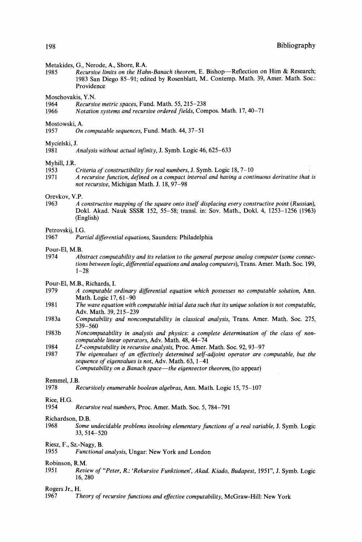### Metakides, G., Nerode, A., Shore, R.A.

**1985** *Recursive limits on the Hahn-Banach theorem,* **E. Bishop—Reflection on Him & Research;** 1983 San Diego 85-91; edited by Rosenblatt, M.. Contemp. Math. 39, Amer. Math. Soc: Providence

Moschovakis, Y.N.<br>1964 Recursin

- 1964 *Recursive metric spaces,* Fund. Math. 55, 215-238
- **1966** *Notation systems and recursive ordered fields,* **Compos. Math. 17, 40-71**

## Mostowski, A.<br>1957 On

1957 *On computable sequences,* Fund. Math. 44, 37-51

# Mycielski, J.<br>1981

# Myhill, J.R.

- **1953** *Criteria of constructibility for real numbers,* **J. Symb. Logic 18, 7-10 ι**
- **1971** *A recursive function, defined on a compact interval and having a continuous derivative thai is not recursive,* Michigan Math. J. 18, 97-98

## Orevkov, V.P.<br>1963  $\overrightarrow{A}$  (

**1963** *A constructive mapping of the square onto itself displacing every constructive point (Russian),* Dokl. Akad. Nauk SSSR 152, 55-58; transl. in: Sov. Math., Dokl. 4, 1253-1256 (1963) (English)

# Petrovskij, I.G.<br>1967 Pari

**1967** *Partial differential equations,* **Saunders: Philadelphia**

### Pour-El, M.B.

- **1974** *Abstract computability and its relation to the general purpose analog computer (some connections between logic, differential equations and analog computers),* **Trans. Amer. Math. Soc. 199,**  $1 - 28$
- Pour-El, M.B., Richards, I.
- **1979** *A computable ordinary differential equation which possesses no computable solution,* **Ann.** Math. Logic 17, 61-90
- **1981** *The wave equation with computable initial data such that its unique solution is not computable,* Adv. Math. 39, 215-239
- **1983a** *Computability and noncomputability in classical analysis,* **Trans. Amer. Math. Soc. 275,** 539-560
- **1983b** *Noncomputability in analysis and physics: a complete determination of the class of noncomputable linear operators,* **Adv. Math. 48, 44-74**
- **1984** *L<sup>p</sup> -computability in recursive analysis,* **Proc. Amer. Math. Soc. 92, 93-97**
- **1987** *The eigenvalues of an effectively determined self-adjoint operator are computable, but the sequence of eigenvalues is not,* **Adv. Math. 63, 1-41** *Computability on a Banach space***—***the eigenvector theorem,* **(to appear)**

#### Remmel, J.B.

**1978** *Recursively enumerable boolean algebras,* **Ann. Math. Logic 15, 75-107**

### Rice, H.G.

1954 *Recursive real numbers,* Proc. Amer. Math. Soc. 5, 784-791

#### Richardson, D.B.

- **1968** *Some undecidable problems involving elementary functions of a real variable,* **J. Symb. Logic** 33, 514-520
- Riesz, F., Sz.-Nagy, B.<br>1955 Functional
- 1955 *Functional analysis,* Ungar: New York and London

### Robinson, R.M.

**1951** *Review of "Peter, R.: 'Rekursive Funktionen\ Akad. Kiado, Budapest,* **1951", J. Symb. Logic** 16, 280

### Rogers Jr., H.

**1967** *Theory of recursive functions and effective computability,* **McGraw-Hill: New York**

**<sup>1981</sup>** *Analysis without actual infinity,* **J. Symb. Logic 46, 625-633**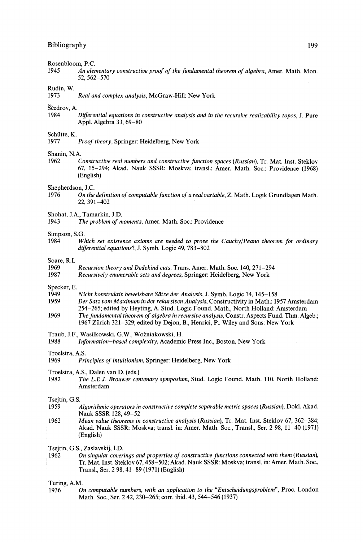# Rosenbloom, P.C.<br>1945 An eler

**1945** *An elementary constructive proof of the fundamental theorem of algebra,* **Amer. Math. Mon.** 52, 562-570

# Rudin, W.

1973 *Real and complex analysis,* McGraw-Hill: New York

# Ščedrov, A.

 $19$  *Differential equations in constructive analysis and in the recursive realizability topos.* J. Pure Appl. Algebra 33, 69-80

## Schütte, K.<br>1977

1977 *Proof theory,* Springer: Heidelberg, New York

### Shanin, N.A.

**1962** *Constructive real numbers and constructive function spaces (Russian),* **Tr. Mat. Inst. Steklov** 67, 15-294; Akad. Nauk SSSR: Moskva; transl.: Amer. Math. Soc: Providence (1968) (English)

## Shepherdson, J.C.<br>1976 On the

- **1976** *On the definition of computable function of a real variable,* **Z. Math. Logik Grundlagen Math.** 22, 391-402
- Shohat, J.A., Tamarkin, J.D.<br>1943 The problem of n
- The problem of moments, Amer. Math. Soc.: Providence

## Simpson, S.G.  $W_1$

**1984** *Which set existence axioms are needed to prove the Cauchy/Peano theorem for ordinary differential equations!,* **J. Symb. Logic 49, 783-802**

# Soare, R.I.

1969 *Recursion theory and Dedekind cuts,* Trans. Amer. Math. Soc. 140, 271-294

**1987** *Recursively enumerable sets and degrees,* **Springer: Heidelberg, New York**

## Specker, E.<br>1949

- **1949** *Nicht konstruktiv beweisbare Sάtze der Analysis,* **J. Symb. Logic 14, 145-158**
- **1959** *Der Satz vom Maximum in der rekursίven Analysis,* **Constructivity in Math.; 1957 Amsterdam** 254-265; edited by Heyting, A. Stud. Logic Found. Math., North Holland: Amsterdam
- **1969** *The fundamental theorem of algebra in recursive analysis,* **Constr. Aspects Fund. Thm. Algeb.;** 1967 Zurich 321-329; edited by Dejon, B., Henrici, P.. Wiley and Sons: New York
- Traub, J.F., Wasilkowski, G.W., Wozniakowski, H.
- Information-based complexity, Academic Press Inc., Boston, New York

## Troelstra, A.S.<br>1969 Pri

- 1969 *Principles of intuitionism,* Springer: Heidelberg, New York
- Troelstra, A.S., Dalen van D. (eds.)
- 1982 *The L.E.J. Brouwer centenary symposium,* Stud. Logic Found. Math. 110, North Holland: Amsterdam

# Tsejtin, G.S.  $1959$

- **1959** *Algorithmic operators in constructive complete separable metric spaces (Russian),* **Dokl. Akad.** Nauk SSSR 128, 49-52
- **1962** *Mean value theorems in constructive analysis (Russian),* **Tr. Mat. Inst. Steklov 67, 362-384;** Akad. Nauk SSSR: Moskva; transl. in: Amer. Math. Soc, Transl., Ser. 2 98, 11-40 (1971) (English)

Tsejtin, G.S., Zaslavskij, I.D.

**1962** *On singular coverings and properties of constructive functions connected with them (Russian),* I Tr. Mat. Inst. Steklov 67,458-502; Akad. Nauk SSSR: Moskva; transl. in: Amer. Math. Soc, Transl., Ser. 2 98, 41-89 (1971) (English)

Turing, A.M.

**1936** *On computable numbers, with an application to the "Entscheidungsproblem",* **Proc London** Math. Soc, Ser. 2 42, 230-265; corr. ibid. 43, 544-546 (1937)